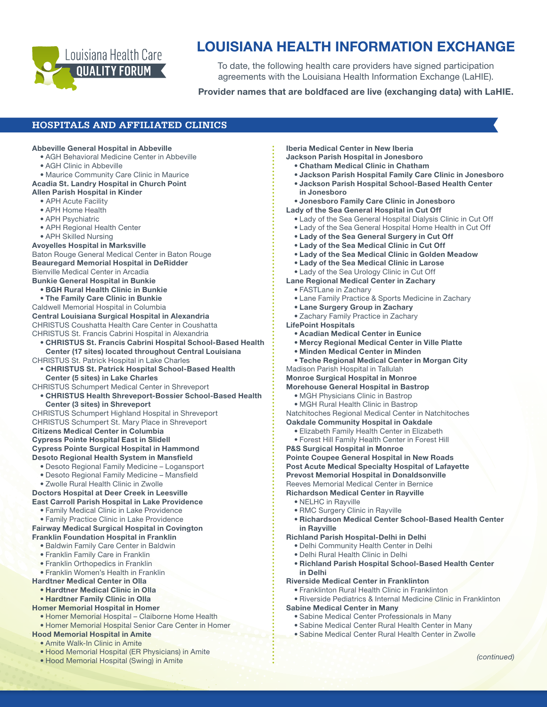

# LOUISIANA HEALTH INFORMATION EXCHANGE

To date, the following health care providers have signed participation agreements with the Louisiana Health Information Exchange (LaHIE).

## Provider names that are boldfaced are live (exchanging data) with LaHIE.

#### Abbeville General Hospital in Abbeville • AGH Behavioral Medicine Center in Abbeville • AGH Clinic in Abbeville • Maurice Community Care Clinic in Maurice Acadia St. Landry Hospital in Church Point Allen Parish Hospital in Kinder • APH Acute Facility • APH Home Health • APH Psychiatric • APH Regional Health Center • APH Skilled Nursing Avoyelles Hospital in Marksville Baton Rouge General Medical Center in Baton Rouge Beauregard Memorial Hospital in DeRidder Bienville Medical Center in Arcadia Bunkie General Hospital in Bunkie • BGH Rural Health Clinic in Bunkie • The Family Care Clinic in Bunkie Caldwell Memorial Hospital in Columbia Central Louisiana Surgical Hospital in Alexandria CHRISTUS Coushatta Health Care Center in Coushatta CHRISTUS St. Francis Cabrini Hospital in Alexandria • CHRISTUS St. Francis Cabrini Hospital School-Based Health Center (17 sites) located throughout Central Louisiana CHRISTUS St. Patrick Hospital in Lake Charles • CHRISTUS St. Patrick Hospital School-Based Health Center (5 sites) in Lake Charles CHRISTUS Schumpert Medical Center in Shreveport • CHRISTUS Health Shreveport-Bossier School-Based Health Center (3 sites) in Shreveport CHRISTUS Schumpert Highland Hospital in Shreveport CHRISTUS Schumpert St. Mary Place in Shreveport Citizens Medical Center in Columbia Cypress Pointe Hospital East in Slidell Cypress Pointe Surgical Hospital in Hammond Desoto Regional Health System in Mansfield • Desoto Regional Family Medicine – Logansport • Desoto Regional Family Medicine – Mansfield • Zwolle Rural Health Clinic in Zwolle Doctors Hospital at Deer Creek in Leesville East Carroll Parish Hospital in Lake Providence • Family Medical Clinic in Lake Providence • Family Practice Clinic in Lake Providence Fairway Medical Surgical Hospital in Covington Franklin Foundation Hospital in Franklin • Baldwin Family Care Center in Baldwin • Franklin Family Care in Franklin • Franklin Orthopedics in Franklin • Franklin Women's Health in Franklin Hardtner Medical Center in Olla • Hardtner Medical Clinic in Olla • Hardtner Family Clinic in Olla Homer Memorial Hospital in Homer • Homer Memorial Hospital – Claiborne Home Health **HOSPITALS AND AFFILIATED CLINICS**

- Homer Memorial Hospital Senior Care Center in Homer
- Hood Memorial Hospital in Amite

# • Amite Walk-In Clinic in Amite

- Hood Memorial Hospital (ER Physicians) in Amite
- Hood Memorial Hospital (Swing) in Amite

# Iberia Medical Center in New Iberia

- Jackson Parish Hospital in Jonesboro
	- Chatham Medical Clinic in Chatham
- Jackson Parish Hospital Family Care Clinic in Jonesboro
- Jackson Parish Hospital School-Based Health Center in Jonesboro

#### • Jonesboro Family Care Clinic in Jonesboro

#### Lady of the Sea General Hospital in Cut Off

- Lady of the Sea General Hospital Dialysis Clinic in Cut Off
- Lady of the Sea General Hospital Home Health in Cut Off
- Lady of the Sea General Surgery in Cut Off
- Lady of the Sea Medical Clinic in Cut Off
- Lady of the Sea Medical Clinic in Golden Meadow
- Lady of the Sea Medical Clinic in Larose
- Lady of the Sea Urology Clinic in Cut Off
- Lane Regional Medical Center in Zachary
	- FASTLane in Zachary
	- Lane Family Practice & Sports Medicine in Zachary
	- Lane Surgery Group in Zachary
	- Zachary Family Practice in Zachary

#### LifePoint Hospitals

- Acadian Medical Center in Eunice
- Mercy Regional Medical Center in Ville Platte
- Minden Medical Center in Minden
- Teche Regional Medical Center in Morgan City

# Madison Parish Hospital in Tallulah

# Monroe Surgical Hospital in Monroe

# Morehouse General Hospital in Bastrop

- MGH Physicians Clinic in Bastrop
- MGH Rural Health Clinic in Bastrop
- Natchitoches Regional Medical Center in Natchitoches
- Oakdale Community Hospital in Oakdale
	- Elizabeth Family Health Center in Elizabeth
	- Forest Hill Family Health Center in Forest Hill
- P&S Surgical Hospital in Monroe

Pointe Coupee General Hospital in New Roads Post Acute Medical Specialty Hospital of Lafayette Prevost Memorial Hospital in Donaldsonville Reeves Memorial Medical Center in Bernice

- 
- Richardson Medical Center School-Based Health Center in Rayville
- Richland Parish Hospital-Delhi in Delhi
	- Delhi Community Health Center in Delhi
	- Delhi Rural Health Clinic in Delhi
	- Richland Parish Hospital School-Based Health Center in Delhi

#### Riverside Medical Center in Franklinton

- Franklinton Rural Health Clinic in Franklinton
- Riverside Pediatrics & Internal Medicine Clinic in Franklinton Sabine Medical Center in Many
	- Sabine Medical Center Professionals in Many
	- Sabine Medical Center Rural Health Center in Many
	- Sabine Medical Center Rural Health Center in Zwolle
- Richardson Medical Center in Rayville • NELHC in Rayville • RMC Surgery Clinic in Rayville
-